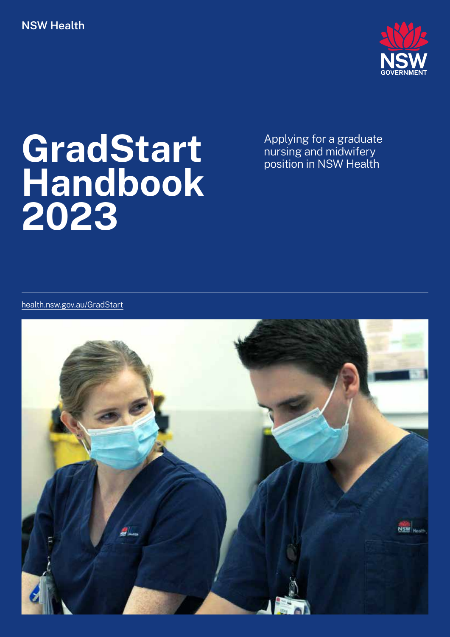## **NSW Health**



# **GradStart Handbook 2023**

Applying for a graduate nursing and midwifery position in NSW Health

health.nsw.gov.au/GradStart

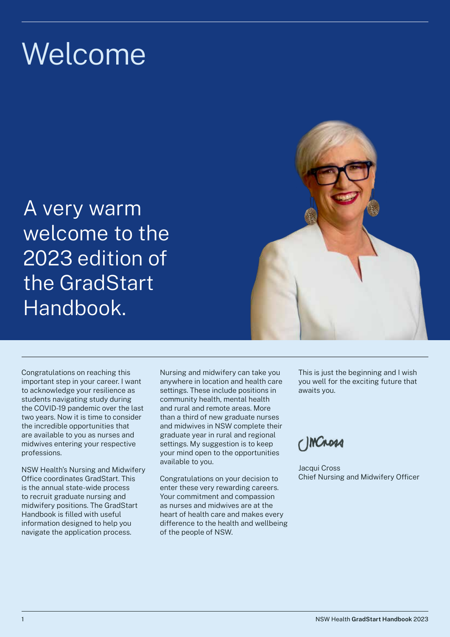# Welcome

A very warm welcome to the 2023 edition of the GradStart Handbook.

Congratulations on reaching this important step in your career. I want to acknowledge your resilience as students navigating study during the COVID-19 pandemic over the last two years. Now it is time to consider the incredible opportunities that are available to you as nurses and midwives entering your respective

NSW Health's Nursing and Midwifery Office coordinates GradStart. This is the annual state-wide process to recruit graduate nursing and midwifery positions. The GradStart Handbook is filled with useful information designed to help you navigate the application process.

professions.

Nursing and midwifery can take you anywhere in location and health care settings. These include positions in community health, mental health and rural and remote areas. More than a third of new graduate nurses and midwives in NSW complete their graduate year in rural and regional settings. My suggestion is to keep your mind open to the opportunities available to you.

Congratulations on your decision to enter these very rewarding careers. Your commitment and compassion as nurses and midwives are at the heart of health care and makes every difference to the health and wellbeing of the people of NSW.

This is just the beginning and I wish you well for the exciting future that awaits you.

C)MCROSA

Jacqui Cross Chief Nursing and Midwifery Officer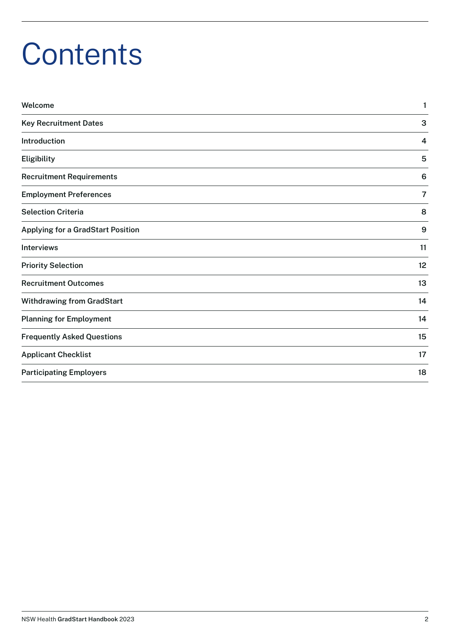# **Contents**

| Welcome                                  | 1              |
|------------------------------------------|----------------|
| <b>Key Recruitment Dates</b>             | 3              |
| Introduction                             | 4              |
| Eligibility                              | 5              |
| <b>Recruitment Requirements</b>          | 6              |
| <b>Employment Preferences</b>            | $\overline{7}$ |
| <b>Selection Criteria</b>                | 8              |
| <b>Applying for a GradStart Position</b> | 9              |
| <b>Interviews</b>                        | 11             |
| <b>Priority Selection</b>                | 12             |
| <b>Recruitment Outcomes</b>              | 13             |
| <b>Withdrawing from GradStart</b>        | 14             |
| <b>Planning for Employment</b>           | 14             |
| <b>Frequently Asked Questions</b>        | 15             |
| <b>Applicant Checklist</b>               | 17             |
| <b>Participating Employers</b>           | 18             |
|                                          |                |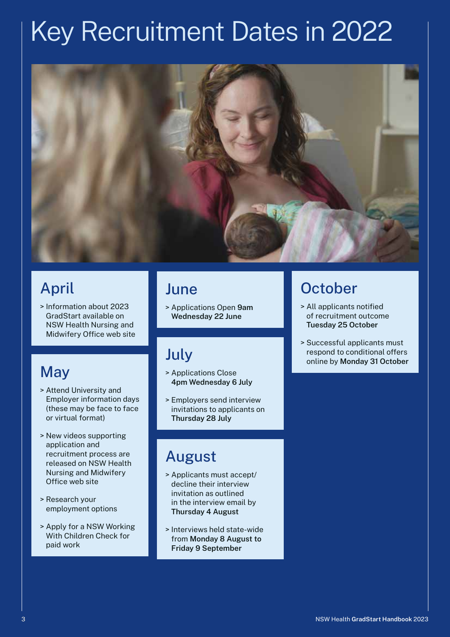# Key Recruitment Dates in 2022



# April

> Information about 2023 GradStart available on NSW Health Nursing and Midwifery Office web site

# **May**

- > Attend University and Employer information days (these may be face to face or virtual format)
- > New videos supporting application and recruitment process are released on NSW Health Nursing and Midwifery Office web site
- > Research your employment options
- > Apply for a NSW Working With Children Check for paid work

# June

> Applications Open **9am Wednesday 22 June**

# July

- > Applications Close **4pm Wednesday 6 July**
- > Employers send interview invitations to applicants on **Thursday 28 July**

# August

- > Applicants must accept/ decline their interview invitation as outlined in the interview email by **Thursday 4 August**
- > Interviews held state-wide from **Monday 8 August to Friday 9 September**

# **October**

- > All applicants notified of recruitment outcome **Tuesday 25 October**
- > Successful applicants must respond to conditional offers online by **Monday 31 October**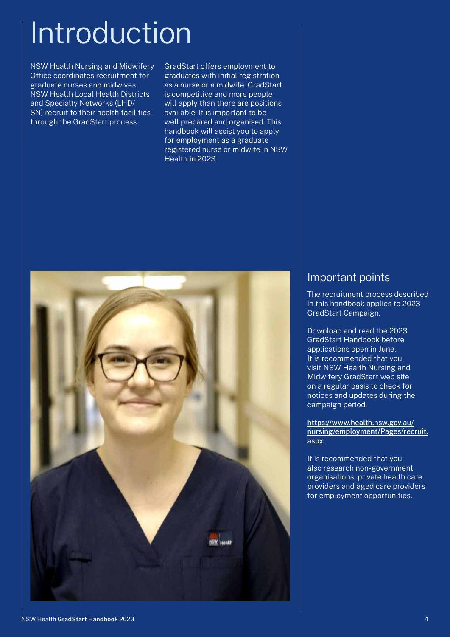# Introduction

NSW Health Nursing and Midwifery Office coordinates recruitment for graduate nurses and midwives. NSW Health Local Health Districts and Specialty Networks (LHD/ SN) recruit to their health facilities through the GradStart process.

GradStart offers employment to graduates with initial registration as a nurse or a midwife. GradStart is competitive and more people will apply than there are positions available. It is important to be well prepared and organised. This handbook will assist you to apply for employment as a graduate registered nurse or midwife in NSW Health in 2023.



### Important points

The recruitment process described in this handbook applies to 2023 GradStart Campaign.

Download and read the 2023 GradStart Handbook before applications open in June. It is recommended that you visit NSW Health Nursing and Midwifery GradStart web site on a regular basis to check for notices and updates during the campaign period.

[https://www.health.nsw.gov.au/](https://www.health.nsw.gov.au/nursing/employment/Pages/recruit.aspx) [nursing/employment/Pages/recruit.](https://www.health.nsw.gov.au/nursing/employment/Pages/recruit.aspx) [aspx](https://www.health.nsw.gov.au/nursing/employment/Pages/recruit.aspx)

It is recommended that you also research non-government organisations, private health care providers and aged care providers for employment opportunities.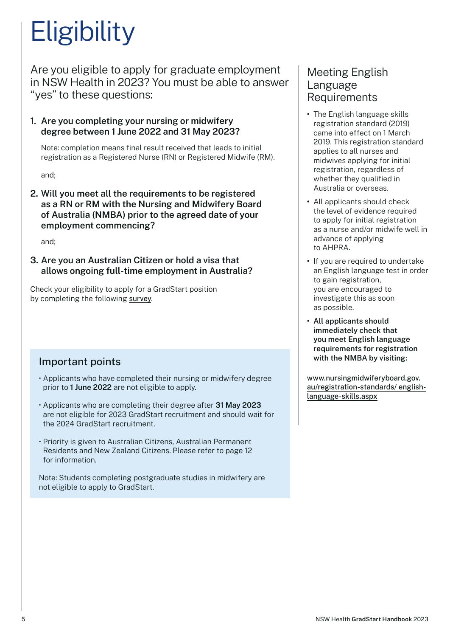# **Eligibility**

Are you eligible to apply for graduate employment in NSW Health in 2023? You must be able to answer "yes" to these questions:

**1. Are you completing your nursing or midwifery degree between 1 June 2022 and 31 May 2023?**

Note: completion means final result received that leads to initial registration as a Registered Nurse (RN) or Registered Midwife (RM).

and;

**2. Will you meet all the requirements to be registered as a RN or RM with the Nursing and Midwifery Board of Australia (NMBA) prior to the agreed date of your employment commencing?** 

and;

**3. Are you an Australian Citizen or hold a visa that allows ongoing full-time employment in Australia?**

Check your eligibility to apply for a GradStart position by completing the following [survey](https://www.surveymonkey.com/r/GradStart2023).

# Important points

- Applicants who have completed their nursing or midwifery degree prior to **1 June 2022** are not eligible to apply.
- Applicants who are completing their degree after **31 May 2023** are not eligible for 2023 GradStart recruitment and should wait for the 2024 GradStart recruitment.
- Priority is given to Australian Citizens, Australian Permanent Residents and New Zealand Citizens. Please refer to page 12 for information.

Note: Students completing postgraduate studies in midwifery are not eligible to apply to GradStart.

## Meeting English Language Requirements

- **•** The English language skills registration standard (2019) came into effect on 1 March 2019. This registration standard applies to all nurses and midwives applying for initial registration, regardless of whether they qualified in Australia or overseas.
- **•** All applicants should check the level of evidence required to apply for initial registration as a nurse and/or midwife well in advance of applying to AHPRA.
- **•** If you are required to undertake an English language test in order to gain registration, you are encouraged to investigate this as soon as possible.
- **• All applicants should immediately check that you meet English language requirements for registration with the NMBA by visiting:**

[www.nursingmidwiferyboard.gov.](http://www.nursingmidwiferyboard.gov.au/registration-standards/ english-language-skills.aspx) [au/registration-standards/ english](http://www.nursingmidwiferyboard.gov.au/registration-standards/ english-language-skills.aspx)[language-skills.aspx](http://www.nursingmidwiferyboard.gov.au/registration-standards/ english-language-skills.aspx)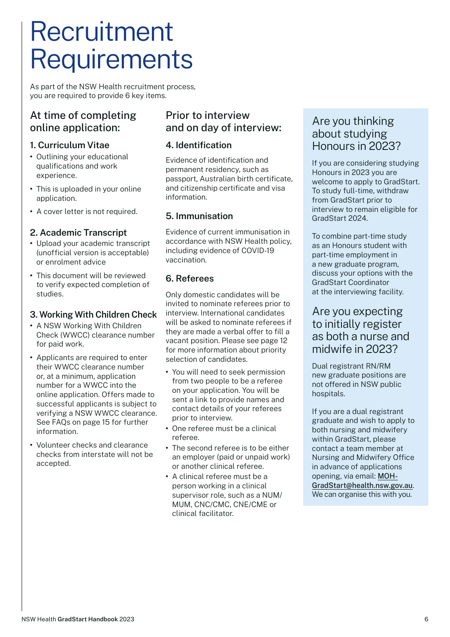# Recruitment **Requirements**

As part of the NSW Health recruitment process, you are required to provide 6 key items.

## At time of completing online application:

### **1. Curriculum Vitae**

- **•** Outlining your educational qualifications and work experience.
- **•** This is uploaded in your online application.
- **•** A cover letter is not required.

### **2. Academic Transcript**

- **•** Upload your academic transcript (unofficial version is acceptable) or enrolment advice
- **•** This document will be reviewed to verify expected completion of studies.

### **3. Working With Children Check**

- **•** A NSW Working With Children Check (WWCC) clearance number for paid work.
- **•** Applicants are required to enter their WWCC clearance number or, at a minimum, application number for a WWCC into the online application. Offers made to successful applicants is subject to verifying a NSW WWCC clearance. See FAQs on page 15 for further information.
- **•** Volunteer checks and clearance checks from interstate will not be accepted.

### Prior to interview and on day of interview:

### **4. Identification**

Evidence of identification and permanent residency, such as passport, Australian birth certificate, and citizenship certificate and visa information.

### **5. Immunisation**

Evidence of current immunisation in accordance with NSW Health policy, including evidence of COVID-19 vaccination.

### **6. Referees**

Only domestic candidates will be invited to nominate referees prior to interview. International candidates will be asked to nominate referees if they are made a verbal offer to fill a vacant position. Please see page 12 for more information about priority selection of candidates.

- **•** You will need to seek permission from two people to be a referee on your application. You will be sent a link to provide names and contact details of your referees prior to interview.
- **•** One referee must be a clinical referee.
- **•** The second referee is to be either an employer (paid or unpaid work) or another clinical referee.
- **•** A clinical referee must be a person working in a clinical supervisor role, such as a NUM/ MUM, CNC/CMC, CNE/CME or clinical facilitator.

### Are you thinking about studying Honours in 2023?

If you are considering studying Honours in 2023 you are welcome to apply to GradStart. To study full-time, withdraw from GradStart prior to interview to remain eligible for GradStart 2024.

To combine part-time study as an Honours student with part-time employment in a new graduate program, discuss your options with the GradStart Coordinator at the interviewing facility.

## Are you expecting to initially register as both a nurse and midwife in 2023?

Dual registrant RN/RM new graduate positions are not offered in NSW public hospitals.

If you are a dual registrant graduate and wish to apply to both nursing and midwifery within GradStart, please contact a team member at Nursing and Midwifery Office in advance of applications opening, via email: [MOH-](mailto:MOH-GradStart%40health.nsw.gov.au?subject=)[GradStart@health.nsw.gov.au](mailto:MOH-GradStart%40health.nsw.gov.au?subject=). We can organise this with you.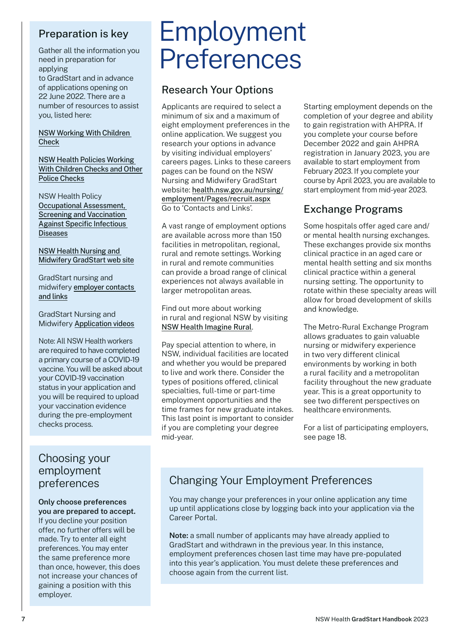## Preparation is key

Gather all the information you need in preparation for applying

to GradStart and in advance of applications opening on 22 June 2022. There are a number of resources to assist you, listed here:

[NSW Working With Children](https://ocg.nsw.gov.au/)  **[Check](https://ocg.nsw.gov.au/)** 

[NSW Health Policies Working](https://www1.health.nsw.gov.au/pds/ActivePDSDocuments/PD2019_003.pdf)  [With Children Checks and Other](https://www1.health.nsw.gov.au/pds/ActivePDSDocuments/PD2019_003.pdf)  [Police Checks](https://www1.health.nsw.gov.au/pds/ActivePDSDocuments/PD2019_003.pdf)

NSW Health Policy [Occupational Assessment,](https://www1.health.nsw.gov.au/pds/ActivePDSDocuments/PD2020_017.pdf)  [Screening and Vaccination](https://www1.health.nsw.gov.au/pds/ActivePDSDocuments/PD2020_017.pdf)  [Against Specific Infectious](https://www1.health.nsw.gov.au/pds/ActivePDSDocuments/PD2020_017.pdf)  [Diseases](https://www1.health.nsw.gov.au/pds/ActivePDSDocuments/PD2020_017.pdf)

#### [NSW Health Nursing and](https://www.health.nsw.gov.au/nursing/employment/Pages/recruit.aspx)  [Midwifery GradStart web site](https://www.health.nsw.gov.au/nursing/employment/Pages/recruit.aspx)

[GradStart nursing and](health.nsw.gov.au/nursing/employment/Pages/gradstart-contacts.aspx)  [midwifery](health.nsw.gov.au/nursing/employment/Pages/gradstart-contacts.aspx) [employer contacts](https://www.health.nsw.gov.au/nursing/employment/Pages/gradstart-contacts.aspx)  [and links](https://www.health.nsw.gov.au/nursing/employment/Pages/gradstart-contacts.aspx)

GradStart Nursing and Midwifery [Application videos](https://www.health.nsw.gov.au/nursing/employment/Pages/gradstart-videos.aspx)

Note: All NSW Health workers are required to have completed a primary course of a COVID-19 vaccine. You will be asked about your COVID-19 vaccination status in your application and you will be required to upload your vaccination evidence during the pre-employment checks process.

## Choosing your employment preferences

#### **Only choose preferences you are prepared to accept.**

If you decline your position offer, no further offers will be made. Try to enter all eight preferences. You may enter the same preference more than once, however, this does not increase your chances of gaining a position with this employer.

# Employment Preferences

## Research Your Options

Applicants are required to select a minimum of six and a maximum of eight employment preferences in the online application. We suggest you research your options in advance by visiting individual employers' careers pages. Links to these careers pages can be found on the NSW Nursing and Midwifery GradStart website: [health.nsw.gov.au/nursing/](http://www.health.nsw.gov.au/nursing/employment/Pages/recruit.aspx) [employment/Pages/recruit.aspx](http://www.health.nsw.gov.au/nursing/employment/Pages/recruit.aspx) Go to 'Contacts and Links'.

A vast range of employment options are available across more than 150 facilities in metropolitan, regional, rural and remote settings. Working in rural and remote communities can provide a broad range of clinical experiences not always available in larger metropolitan areas.

Find out more about working in rural and regional NSW by visiting [NSW Health Imagine Rural](https://www.health.nsw.gov.au/careers/imagine-rural/Pages/default.aspx).

Pay special attention to where, in NSW, individual facilities are located and whether you would be prepared to live and work there. Consider the types of positions offered, clinical specialties, full-time or part-time employment opportunities and the time frames for new graduate intakes. This last point is important to consider if you are completing your degree mid-year.

Starting employment depends on the completion of your degree and ability to gain registration with AHPRA. If you complete your course before December 2022 and gain AHPRA registration in January 2023, you are available to start employment from February 2023. If you complete your course by April 2023, you are available to start employment from mid-year 2023.

# Exchange Programs

Some hospitals offer aged care and/ or mental health nursing exchanges. These exchanges provide six months clinical practice in an aged care or mental health setting and six months clinical practice within a general nursing setting. The opportunity to rotate within these specialty areas will allow for broad development of skills and knowledge.

The Metro-Rural Exchange Program allows graduates to gain valuable nursing or midwifery experience in two very different clinical environments by working in both a rural facility and a metropolitan facility throughout the new graduate year. This is a great opportunity to see two different perspectives on healthcare environments.

For a list of participating employers, see page 18.

# Changing Your Employment Preferences

You may change your preferences in your online application any time up until applications close by logging back into your application via the Career Portal.

**Note:** a small number of applicants may have already applied to GradStart and withdrawn in the previous year. In this instance, employment preferences chosen last time may have pre-populated into this year's application. You must delete these preferences and choose again from the current list.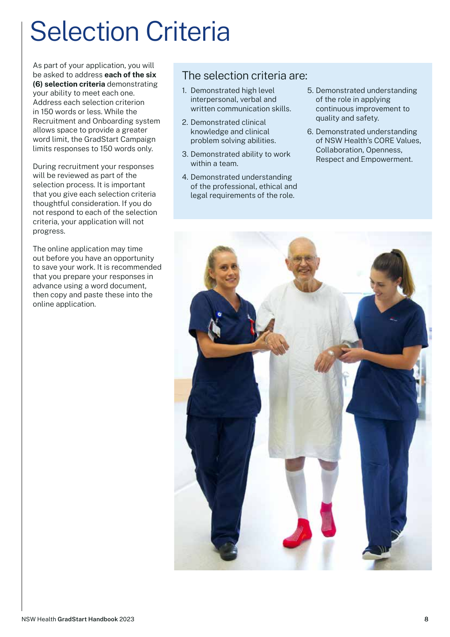# Selection Criteria

As part of your application, you will be asked to address **each of the six (6) selection criteria** demonstrating your ability to meet each one. Address each selection criterion in 150 words or less. While the Recruitment and Onboarding system allows space to provide a greater word limit, the GradStart Campaign limits responses to 150 words only.

During recruitment your responses will be reviewed as part of the selection process. It is important that you give each selection criteria thoughtful consideration. If you do not respond to each of the selection criteria, your application will not progress.

The online application may time out before you have an opportunity to save your work. It is recommended that you prepare your responses in advance using a word document, then copy and paste these into the online application.

## The selection criteria are:

- 1. Demonstrated high level interpersonal, verbal and written communication skills.
- 2. Demonstrated clinical knowledge and clinical problem solving abilities.
- 3. Demonstrated ability to work within a team.
- 4. Demonstrated understanding of the professional, ethical and legal requirements of the role.
- 5. Demonstrated understanding of the role in applying continuous improvement to quality and safety.
- 6. Demonstrated understanding of NSW Health's CORE Values, Collaboration, Openness, Respect and Empowerment.

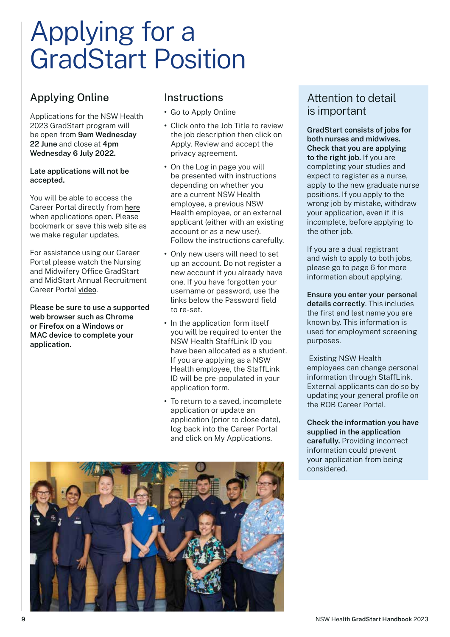# Applying for a GradStart Position

# Applying Online

Applications for the NSW Health 2023 GradStart program will be open from **9am Wednesday 22 June** and close at **4pm Wednesday 6 July 2022.**

#### **Late applications will not be accepted.**

You will be able to access the Career Portal directly from [here](https://www.health.nsw.gov.au/nursing/employment/Pages/recruit.aspx) when applications open. Please bookmark or save this web site as we make regular updates.

For assistance using our Career Portal please watch the Nursing and Midwifery Office GradStart and MidStart Annual Recruitment Career Portal [video](https://publish.viostream.com/play/bgrkko7dreeqoq).

**Please be sure to use a supported web browser such as Chrome or Firefox on a Windows or MAC device to complete your application.**

## **Instructions**

- **•** Go to Apply Online
- **•** [Click onto the Job Title to review](http://www.health.nsw.gov.au/ nursing/employment/Pages/Recruit.aspx )  [the job description then click on](http://www.health.nsw.gov.au/ nursing/employment/Pages/Recruit.aspx )  [Apply. Review and accept the](http://www.health.nsw.gov.au/ nursing/employment/Pages/Recruit.aspx )  [privacy agreement.](http://www.health.nsw.gov.au/ nursing/employment/Pages/Recruit.aspx )
- **•** [On the Log in page you will](http://www.health.nsw.gov.au/ nursing/employment/Pages/Recruit.aspx )  [be presented with instructions](http://www.health.nsw.gov.au/ nursing/employment/Pages/Recruit.aspx )  [depending on whether you](http://www.health.nsw.gov.au/ nursing/employment/Pages/Recruit.aspx )  [are a current NSW Health](http://www.health.nsw.gov.au/ nursing/employment/Pages/Recruit.aspx )  [employee, a previous NSW](http://www.health.nsw.gov.au/ nursing/employment/Pages/Recruit.aspx )  [Health employee, or an external](http://www.health.nsw.gov.au/ nursing/employment/Pages/Recruit.aspx )  [applicant \(either with an existing](http://www.health.nsw.gov.au/ nursing/employment/Pages/Recruit.aspx )  [account or as a new user\).](http://www.health.nsw.gov.au/ nursing/employment/Pages/Recruit.aspx )  [Follow the instructions carefully.](http://www.health.nsw.gov.au/ nursing/employment/Pages/Recruit.aspx )
- **•** [Only new users will need to set](http://www.health.nsw.gov.au/ nursing/employment/Pages/Recruit.aspx )  [up an account. Do not register a](http://www.health.nsw.gov.au/ nursing/employment/Pages/Recruit.aspx )  [new account if you already have](http://www.health.nsw.gov.au/ nursing/employment/Pages/Recruit.aspx )  [one. If you have forgotten your](http://www.health.nsw.gov.au/ nursing/employment/Pages/Recruit.aspx )  [username or password, use the](http://www.health.nsw.gov.au/ nursing/employment/Pages/Recruit.aspx )  [links below the Password field](http://www.health.nsw.gov.au/ nursing/employment/Pages/Recruit.aspx )  [to re-set.](http://www.health.nsw.gov.au/ nursing/employment/Pages/Recruit.aspx )
- **•** [In the application form itself](http://www.health.nsw.gov.au/ nursing/employment/Pages/Recruit.aspx )  [you will be required to enter the](http://www.health.nsw.gov.au/ nursing/employment/Pages/Recruit.aspx )  [NSW Health StaffLink ID you](http://www.health.nsw.gov.au/ nursing/employment/Pages/Recruit.aspx )  [have been allocated as a student.](http://www.health.nsw.gov.au/ nursing/employment/Pages/Recruit.aspx )  [If you are applying as a NSW](http://www.health.nsw.gov.au/ nursing/employment/Pages/Recruit.aspx )  [Health employee, the StaffLink](http://www.health.nsw.gov.au/ nursing/employment/Pages/Recruit.aspx )  [ID will be pre-populated in your](http://www.health.nsw.gov.au/ nursing/employment/Pages/Recruit.aspx )  [application form.](http://www.health.nsw.gov.au/ nursing/employment/Pages/Recruit.aspx )
- **•** [To return to a saved, incomplete](http://www.health.nsw.gov.au/ nursing/employment/Pages/Recruit.aspx )  [application or update an](http://www.health.nsw.gov.au/ nursing/employment/Pages/Recruit.aspx )  [application \(prior to close date\),](http://www.health.nsw.gov.au/ nursing/employment/Pages/Recruit.aspx )  [log back into the Career Portal](http://www.health.nsw.gov.au/ nursing/employment/Pages/Recruit.aspx )  [and click on My Applications.](http://www.health.nsw.gov.au/ nursing/employment/Pages/Recruit.aspx )

### Attention to detail is important

**GradStart consists of jobs for both nurses and midwives. Check that you are applying to the right job.** If you are completing your studies and expect to register as a nurse, apply to the new graduate nurse positions. If you apply to the wrong job by mistake, withdraw your application, even if it is incomplete, before applying to the other job.

If you are a dual registrant and wish to apply to both jobs, please go to page 6 for more information about applying.

**Ensure you enter your personal details correctly**. This includes the first and last name you are known by. This information is used for employment screening purposes.

 Existing NSW Health employees can change personal information through StaffLink. External applicants can do so by updating your general profile on the ROB Career Portal.

**Check the information you have supplied in the application carefully.** Providing incorrect information could prevent your application from being considered.

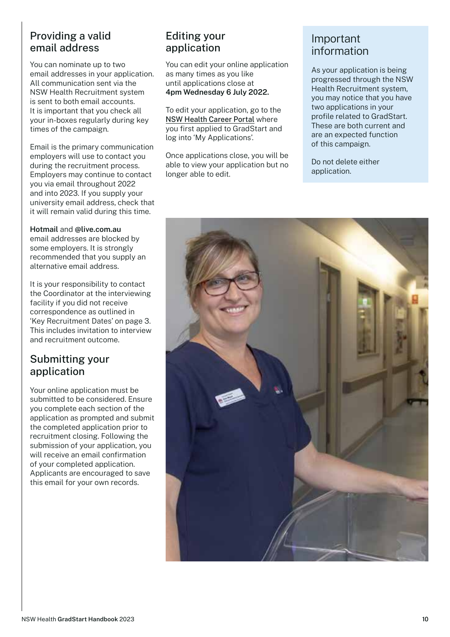### Providing a valid email address

You can nominate up to two email addresses in your application. All communication sent via the NSW Health Recruitment system is sent to both email accounts. It is important that you check all your in-boxes regularly during key times of the campaign.

Email is the primary communication employers will use to contact you during the recruitment process. Employers may continue to contact you via email throughout 2022 and into 2023. If you supply your university email address, check that it will remain valid during this time.

#### **Hotmail** and **@live.com.au**

email addresses are blocked by some employers. It is strongly recommended that you supply an alternative email address.

It is your responsibility to contact the Coordinator at the interviewing facility if you did not receive correspondence as outlined in 'Key Recruitment Dates' on page 3. This includes invitation to interview and recruitment outcome.

### Submitting your application

Your online application must be submitted to be considered. Ensure you complete each section of the application as prompted and submit the completed application prior to recruitment closing. Following the submission of your application, you will receive an email confirmation of your completed application. Applicants are encouraged to save this email for your own records.

### Editing your application

You can edit your online application as many times as you like until applications close at **4pm Wednesday 6 July 2022.**

To edit your application, go to the [NSW Health Career Portal](https://jobs.health.nsw.gov.au/) where you first applied to GradStart and log into 'My Applications'.

Once applications close, you will be able to view your application but no longer able to edit.

### Important information

As your application is being progressed through the NSW Health Recruitment system, you may notice that you have two applications in your profile related to GradStart. These are both current and are an expected function of this campaign.

Do not delete either application.

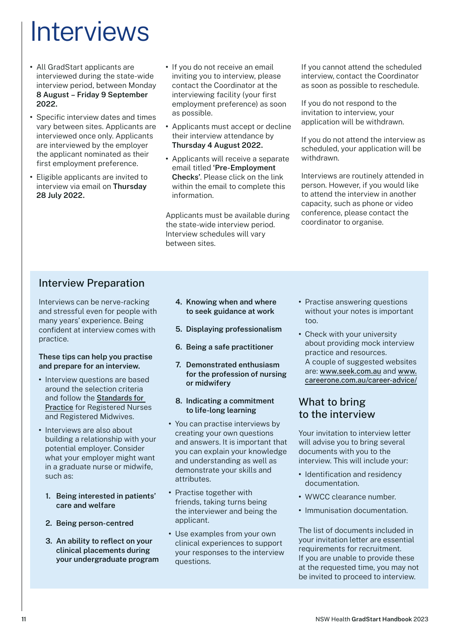# **Interviews**

- **•** All GradStart applicants are interviewed during the state-wide interview period, between Monday **8 August – Friday 9 September 2022.**
- **•** Specific interview dates and times vary between sites. Applicants are interviewed once only. Applicants are interviewed by the employer the applicant nominated as their first employment preference.
- **•** Eligible applicants are invited to interview via email on **Thursday 28 July 2022.**
- **•** If you do not receive an email inviting you to interview, please contact the Coordinator at the interviewing facility (your first employment preference) as soon as possible.
- **•** Applicants must accept or decline their interview attendance by **Thursday 4 August 2022.**
- **•** Applicants will receive a separate email titled **'Pre-Employment Checks'**. Please click on the link within the email to complete this information.

Applicants must be available during the state-wide interview period. Interview schedules will vary between sites.

If you cannot attend the scheduled interview, contact the Coordinator as soon as possible to reschedule.

If you do not respond to the invitation to interview, your application will be withdrawn.

If you do not attend the interview as scheduled, your application will be withdrawn.

Interviews are routinely attended in person. However, if you would like to attend the interview in another capacity, such as phone or video conference, please contact the coordinator to organise.

### Interview Preparation

Interviews can be nerve-racking and stressful even for people with many years' experience. Being confident at interview comes with practice.

#### **These tips can help you practise and prepare for an interview.**

- **•** Interview questions are based around the selection criteria and follow the [Standards for](https://www.nursingmidwiferyboard.gov.au/Codes-Guidelines-Statements/Professional-standards.aspx)  [Practice](https://www.nursingmidwiferyboard.gov.au/Codes-Guidelines-Statements/Professional-standards.aspx) for Registered Nurses and Registered Midwives.
- **•** Interviews are also about building a relationship with your potential employer. Consider what your employer might want in a graduate nurse or midwife, such as:
	- **1. Being interested in patients' care and welfare**
	- **2. Being person-centred**
	- **3. An ability to reflect on your clinical placements during your undergraduate program**
- **4. Knowing when and where to seek guidance at work**
- **5. Displaying professionalism**
- **6. Being a safe practitioner**
- **7. Demonstrated enthusiasm for the profession of nursing or midwifery**
- **8. Indicating a commitment to life-long learning**
- **•** You can practise interviews by creating your own questions and answers. It is important that you can explain your knowledge and understanding as well as demonstrate your skills and attributes.
- **•** Practise together with friends, taking turns being the interviewer and being the applicant.
- **•** Use examples from your own clinical experiences to support your responses to the interview questions.
- **•** Practise answering questions without your notes is important too.
- **•** Check with your university about providing mock interview practice and resources. A couple of suggested websites are: <www.seek.com.au> and [www.](www.careerone.com.au/career-advice/) [careerone.com.au/career-advice/](www.careerone.com.au/career-advice/)

### What to bring to the interview

Your invitation to interview letter will advise you to bring several documents with you to the interview. This will include your:

- **•** Identification and residency documentation.
- **•** WWCC clearance number.
- **•** Immunisation documentation.

The list of documents included in your invitation letter are essential requirements for recruitment. If you are unable to provide these at the requested time, you may not be invited to proceed to interview.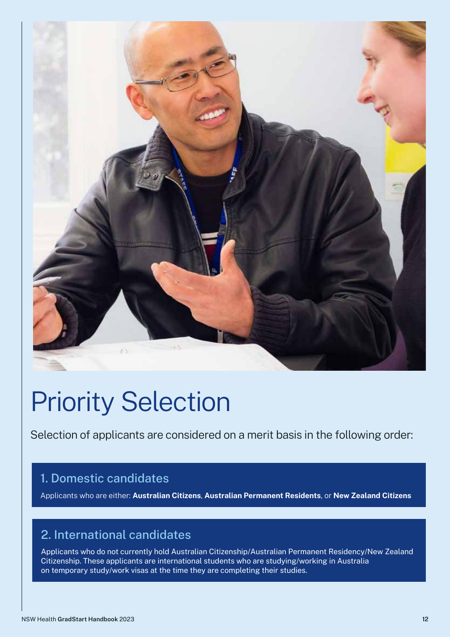

# Priority Selection

Selection of applicants are considered on a merit basis in the following order:

# 1. Domestic candidates

Applicants who are either: **Australian Citizens**, **Australian Permanent Residents**, or **New Zealand Citizens**

# 2. International candidates

Applicants who do not currently hold Australian Citizenship/Australian Permanent Residency/New Zealand Citizenship. These applicants are international students who are studying/working in Australia on temporary study/work visas at the time they are completing their studies.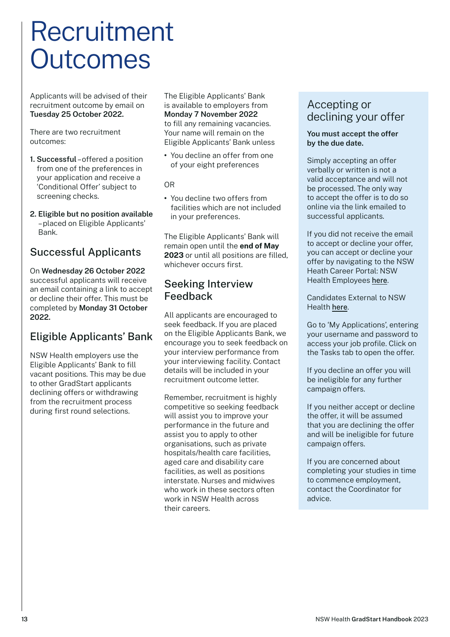# Recruitment **Outcomes**

Applicants will be advised of their recruitment outcome by email on **Tuesday 25 October 2022.**

There are two recruitment outcomes:

- **1. Successful** offered a position from one of the preferences in your application and receive a 'Conditional Offer' subject to screening checks.
- **2. Eligible but no position available** – placed on Eligible Applicants' Bank.

## Successful Applicants

On **Wednesday 26 October 2022**  successful applicants will receive an email containing a link to accept or decline their offer. This must be completed by **Monday 31 October 2022.**

## Eligible Applicants' Bank

NSW Health employers use the Eligible Applicants' Bank to fill vacant positions. This may be due to other GradStart applicants declining offers or withdrawing from the recruitment process during first round selections.

The Eligible Applicants' Bank is available to employers from **Monday 7 November 2022** to fill any remaining vacancies. Your name will remain on the Eligible Applicants' Bank unless

**•** You decline an offer from one of your eight preferences

OR

**•** You decline two offers from facilities which are not included in your preferences.

The Eligible Applicants' Bank will remain open until the **end of May 2023** or until all positions are filled, whichever occurs first.

### Seeking Interview Feedback

All applicants are encouraged to seek feedback. If you are placed on the Eligible Applicants Bank, we encourage you to seek feedback on your interview performance from your interviewing facility. Contact details will be included in your recruitment outcome letter.

Remember, recruitment is highly competitive so seeking feedback will assist you to improve your performance in the future and assist you to apply to other organisations, such as private hospitals/health care facilities, aged care and disability care facilities, as well as positions interstate. Nurses and midwives who work in these sectors often work in NSW Health across their careers.

## Accepting or declining your offer

#### **You must accept the offer by the due date.**

Simply accepting an offer verbally or written is not a valid acceptance and will not be processed. The only way to accept the offer is to do so online via the link emailed to successful applicants.

If you did not receive the email to accept or decline your offer, you can accept or decline your offer by navigating to the NSW Heath Career Portal: NSW Health Employees [here](https://jobs.health.nsw.gov.au/internal).

Candidates External to NSW Health [here](https://jobs.health.nsw.gov.au/).

Go to 'My Applications', entering your username and password to access your job profile. Click on the Tasks tab to open the offer.

If you decline an offer you will be ineligible for any further campaign offers.

If you neither accept or decline the offer, it will be assumed that you are declining the offer and will be ineligible for future campaign offers.

If you are concerned about completing your studies in time to commence employment, contact the Coordinator for advice.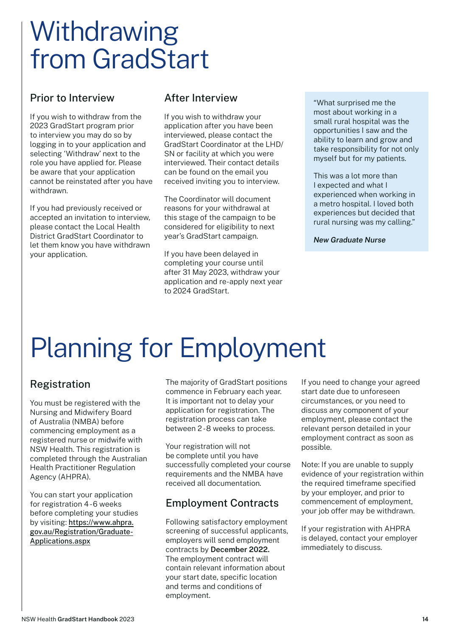# **Withdrawing** from GradStart

### Prior to Interview

If you wish to withdraw from the 2023 GradStart program prior to interview you may do so by logging in to your application and selecting 'Withdraw' next to the role you have applied for. Please be aware that your application cannot be reinstated after you have withdrawn.

If you had previously received or accepted an invitation to interview, please contact the Local Health District GradStart Coordinator to let them know you have withdrawn your application.

## After Interview

If you wish to withdraw your application after you have been interviewed, please contact the GradStart Coordinator at the LHD/ SN or facility at which you were interviewed. Their contact details can be found on the email you received inviting you to interview.

The Coordinator will document reasons for your withdrawal at this stage of the campaign to be considered for eligibility to next year's GradStart campaign.

If you have been delayed in completing your course until after 31 May 2023, withdraw your application and re-apply next year to 2024 GradStart.

"What surprised me the most about working in a small rural hospital was the opportunities I saw and the ability to learn and grow and take responsibility for not only myself but for my patients.

This was a lot more than I expected and what I experienced when working in a metro hospital. I loved both experiences but decided that rural nursing was my calling."

*New Graduate Nurse*

# Planning for Employment

# Registration

You must be registered with the Nursing and Midwifery Board of Australia (NMBA) before commencing employment as a registered nurse or midwife with NSW Health. This registration is completed through the Australian Health Practitioner Regulation Agency (AHPRA).

You can start your application for registration 4-6 weeks before completing your studies by visiting: [https://www.ahpra.](https://www.ahpra.gov.au/Registration/Graduate-Applications.aspx) [gov.au/Registration/Graduate-](https://www.ahpra.gov.au/Registration/Graduate-Applications.aspx)[Applications.aspx](https://www.ahpra.gov.au/Registration/Graduate-Applications.aspx)

The majority of GradStart positions commence in February each year. It is important not to delay your application for registration. The registration process can take between 2 - 8 weeks to process.

Your registration will not be complete until you have successfully completed your course requirements and the NMBA have received all documentation.

# Employment Contracts

Following satisfactory employment screening of successful applicants, employers will send employment contracts by **December 2022.**  The employment contract will contain relevant information about your start date, specific location and terms and conditions of employment.

If you need to change your agreed start date due to unforeseen circumstances, or you need to discuss any component of your employment, please contact the relevant person detailed in your employment contract as soon as possible.

Note: If you are unable to supply evidence of your registration within the required timeframe specified by your employer, and prior to commencement of employment, your job offer may be withdrawn.

If your registration with AHPRA is delayed, contact your employer immediately to discuss.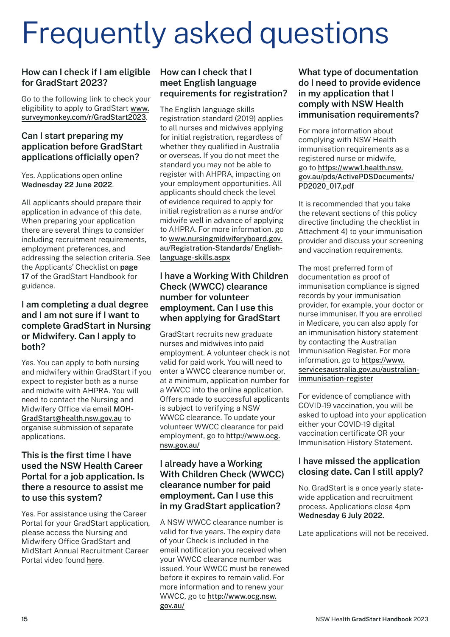# Frequently asked questions

### **How can I check if I am eligible for GradStart 2023?**

Go to the following link to check your eligibility to apply to GradStart [www.](www.surveymonkey.com/r/GradStart2023) [surveymonkey.com/r/GradStart2023](www.surveymonkey.com/r/GradStart2023).

#### **Can I start preparing my application before GradStart applications officially open?**

Yes. Applications open online **Wednesday 22 June 2022**.

All applicants should prepare their application in advance of this date. When preparing your application there are several things to consider including recruitment requirements, employment preferences, and addressing the selection criteria. See the Applicants' Checklist on **page 17** of the GradStart Handbook for guidance.

#### **I am completing a dual degree and I am not sure if I want to complete GradStart in Nursing or Midwifery. Can I apply to both?**

Yes. You can apply to both nursing and midwifery within GradStart if you expect to register both as a nurse and midwife with AHPRA. You will need to contact the Nursing and Midwifery Office via email [MOH-](mailto:MOH-GradStart%40health.nsw.gov.au?subject=)[GradStart@health.nsw.gov.au](mailto:MOH-GradStart%40health.nsw.gov.au?subject=) to organise submission of separate applications.

#### **This is the first time I have used the NSW Health Career Portal for a job application. Is there a resource to assist me to use this system?**

Yes. For assistance using the Career Portal for your GradStart application, please access the Nursing and Midwifery Office GradStart and MidStart Annual Recruitment Career Portal video found [here](https://www.health.nsw.gov.au/nursing/employment/Pages/recruit.aspx).

#### **How can I check that I meet English language requirements for registration?**

The English language skills registration standard (2019) applies to all nurses and midwives applying for initial registration, regardless of whether they qualified in Australia or overseas. If you do not meet the standard you may not be able to register with AHPRA, impacting on your employment opportunities. All applicants should check the level of evidence required to apply for initial registration as a nurse and/or midwife well in advance of applying to AHPRA. For more information, go to [www.nursingmidwiferyboard.gov.](www.nursingmidwiferyboard.gov.au/Registration-Standards/ English-language-skills.aspx) [au/Registration-Standards/ English](www.nursingmidwiferyboard.gov.au/Registration-Standards/ English-language-skills.aspx)[language-skills.aspx](www.nursingmidwiferyboard.gov.au/Registration-Standards/ English-language-skills.aspx)

#### **I have a Working With Children Check (WWCC) clearance number for volunteer employment. Can I use this when applying for GradStart**

GradStart recruits new graduate nurses and midwives into paid employment. A volunteer check is not valid for paid work. You will need to enter a WWCC clearance number or, at a minimum, application number for a WWCC into the online application. Offers made to successful applicants is subject to verifying a NSW WWCC clearance. To update your volunteer WWCC clearance for paid employment, go to [http://www.ocg.](http://www.ocg.nsw.gov.au/) [nsw.gov.au/](http://www.ocg.nsw.gov.au/)

#### **I already have a Working With Children Check (WWCC) clearance number for paid employment. Can I use this in my GradStart application?**

A NSW WWCC clearance number is valid for five years. The expiry date of your Check is included in the email notification you received when your WWCC clearance number was issued. Your WWCC must be renewed before it expires to remain valid. For more information and to renew your WWCC, go to [http://www.ocg.nsw.](http://www.ocg.nsw.gov.au/) [gov.au/](http://www.ocg.nsw.gov.au/)

### **What type of documentation do I need to provide evidence in my application that I comply with NSW Health immunisation requirements?**

For more information about complying with NSW Health immunisation requirements as a registered nurse or midwife, go to [https://www1.health.nsw.](https://www1.health.nsw.gov.au/pds/ActivePDSDocuments/PD2020_017.pdf) [gov.au/pds/ActivePDSDocuments/](https://www1.health.nsw.gov.au/pds/ActivePDSDocuments/PD2020_017.pdf) [PD2020\\_017.pdf](https://www1.health.nsw.gov.au/pds/ActivePDSDocuments/PD2020_017.pdf)

It is recommended that you take the relevant sections of this policy directive (including the checklist in Attachment 4) to your immunisation provider and discuss your screening and vaccination requirements.

The most preferred form of documentation as proof of immunisation compliance is signed records by your immunisation provider, for example, your doctor or nurse immuniser. If you are enrolled in Medicare, you can also apply for an immunisation history statement by contacting the Australian Immunisation Register. For more information, go to [https://www.](https://www.servicesaustralia.gov.au/australian-immunisation-register) [servicesaustralia.gov.au/australian](https://www.servicesaustralia.gov.au/australian-immunisation-register)[immunisation-register](https://www.servicesaustralia.gov.au/australian-immunisation-register)

For evidence of compliance with COVID-19 vaccination, you will be asked to upload into your application either your COVID-19 digital vaccination certificate OR your Immunisation History Statement.

### **I have missed the application closing date. Can I still apply?**

No. GradStart is a once yearly statewide application and recruitment process. Applications close 4pm **Wednesday 6 July 2022.**

Late applications will not be received.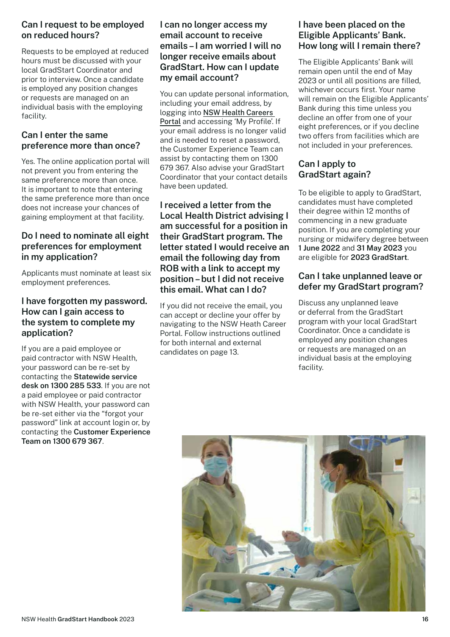### **Can I request to be employed on reduced hours?**

Requests to be employed at reduced hours must be discussed with your local GradStart Coordinator and prior to interview. Once a candidate is employed any position changes or requests are managed on an individual basis with the employing facility.

### **Can I enter the same preference more than once?**

Yes. The online application portal will not prevent you from entering the same preference more than once. It is important to note that entering the same preference more than once does not increase your chances of gaining employment at that facility.

#### **Do I need to nominate all eight preferences for employment in my application?**

Applicants must nominate at least six employment preferences.

#### **I have forgotten my password. How can I gain access to the system to complete my application?**

If you are a paid employee or paid contractor with NSW Health, your password can be re-set by contacting the **Statewide service desk on 1300 285 533**. If you are not a paid employee or paid contractor with NSW Health, your password can be re-set either via the "forgot your password" link at account login or, by contacting the **Customer Experience Team on 1300 679 367**.

#### **I can no longer access my email account to receive emails – I am worried I will no longer receive emails about GradStart. How can I update my email account?**

You can update personal information, including your email address, by logging into [NSW Health Careers](https://jobs.health.nsw.gov.au/)  [Portal](https://jobs.health.nsw.gov.au/) and accessing 'My Profile'. If your email address is no longer valid and is needed to reset a password, the Customer Experience Team can assist by contacting them on 1300 679 367. Also advise your GradStart Coordinator that your contact details have been updated.

#### **I received a letter from the Local Health District advising I am successful for a position in their GradStart program. The letter stated I would receive an email the following day from ROB with a link to accept my position – but I did not receive this email. What can I do?**

If you did not receive the email, you can accept or decline your offer by navigating to the NSW Heath Career Portal. Follow instructions outlined for both internal and external candidates on page 13.

### **I have been placed on the Eligible Applicants' Bank. How long will I remain there?**

The Eligible Applicants' Bank will remain open until the end of May 2023 or until all positions are filled, whichever occurs first. Your name will remain on the Eligible Applicants' Bank during this time unless you decline an offer from one of your eight preferences, or if you decline two offers from facilities which are not included in your preferences.

### **Can I apply to GradStart again?**

To be eligible to apply to GradStart, candidates must have completed their degree within 12 months of commencing in a new graduate position. If you are completing your nursing or midwifery degree between **1 June 2022** and **31 May 2023** you are eligible for **2023 GradStart**.

### **Can I take unplanned leave or defer my GradStart program?**

Discuss any unplanned leave or deferral from the GradStart program with your local GradStart Coordinator. Once a candidate is employed any position changes or requests are managed on an individual basis at the employing facility.

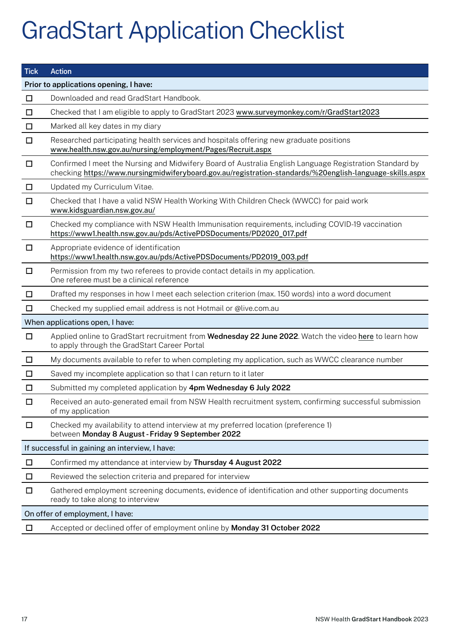# GradStart Application Checklist

| <b>Tick</b>                            | <b>Action</b>                                                                                                                                                                                                       |  |  |
|----------------------------------------|---------------------------------------------------------------------------------------------------------------------------------------------------------------------------------------------------------------------|--|--|
| Prior to applications opening, I have: |                                                                                                                                                                                                                     |  |  |
| $\Box$                                 | Downloaded and read GradStart Handbook.                                                                                                                                                                             |  |  |
| $\Box$                                 | Checked that I am eligible to apply to GradStart 2023 www.surveymonkey.com/r/GradStart2023                                                                                                                          |  |  |
| $\Box$                                 | Marked all key dates in my diary                                                                                                                                                                                    |  |  |
| $\Box$                                 | Researched participating health services and hospitals offering new graduate positions<br>www.health.nsw.gov.au/nursing/employment/Pages/Recruit.aspx                                                               |  |  |
| $\Box$                                 | Confirmed I meet the Nursing and Midwifery Board of Australia English Language Registration Standard by<br>checking https://www.nursingmidwiferyboard.gov.au/registration-standards/%20english-language-skills.aspx |  |  |
| $\Box$                                 | Updated my Curriculum Vitae.                                                                                                                                                                                        |  |  |
| $\Box$                                 | Checked that I have a valid NSW Health Working With Children Check (WWCC) for paid work<br>www.kidsguardian.nsw.gov.au/                                                                                             |  |  |
| $\Box$                                 | Checked my compliance with NSW Health Immunisation requirements, including COVID-19 vaccination<br>https://www1.health.nsw.gov.au/pds/ActivePDSDocuments/PD2020_017.pdf                                             |  |  |
| $\Box$                                 | Appropriate evidence of identification<br>https://www1.health.nsw.gov.au/pds/ActivePDSDocuments/PD2019_003.pdf                                                                                                      |  |  |
| $\Box$                                 | Permission from my two referees to provide contact details in my application.<br>One referee must be a clinical reference                                                                                           |  |  |
| $\Box$                                 | Drafted my responses in how I meet each selection criterion (max. 150 words) into a word document                                                                                                                   |  |  |
| $\Box$                                 | Checked my supplied email address is not Hotmail or @live.com.au                                                                                                                                                    |  |  |
| When applications open, I have:        |                                                                                                                                                                                                                     |  |  |
| $\Box$                                 | Applied online to GradStart recruitment from Wednesday 22 June 2022. Watch the video here to learn how<br>to apply through the GradStart Career Portal                                                              |  |  |
| $\Box$                                 | My documents available to refer to when completing my application, such as WWCC clearance number                                                                                                                    |  |  |
| $\Box$                                 | Saved my incomplete application so that I can return to it later                                                                                                                                                    |  |  |
| $\Box$                                 | Submitted my completed application by 4pm Wednesday 6 July 2022                                                                                                                                                     |  |  |
| $\Box$                                 | Received an auto-generated email from NSW Health recruitment system, confirming successful submission<br>of my application                                                                                          |  |  |
| $\Box$                                 | Checked my availability to attend interview at my preferred location (preference 1)<br>between Monday 8 August - Friday 9 September 2022                                                                            |  |  |
|                                        | If successful in gaining an interview, I have:                                                                                                                                                                      |  |  |
| $\Box$                                 | Confirmed my attendance at interview by Thursday 4 August 2022                                                                                                                                                      |  |  |
| $\Box$                                 | Reviewed the selection criteria and prepared for interview                                                                                                                                                          |  |  |
| □                                      | Gathered employment screening documents, evidence of identification and other supporting documents<br>ready to take along to interview                                                                              |  |  |
| On offer of employment, I have:        |                                                                                                                                                                                                                     |  |  |
| $\Box$                                 | Accepted or declined offer of employment online by Monday 31 October 2022                                                                                                                                           |  |  |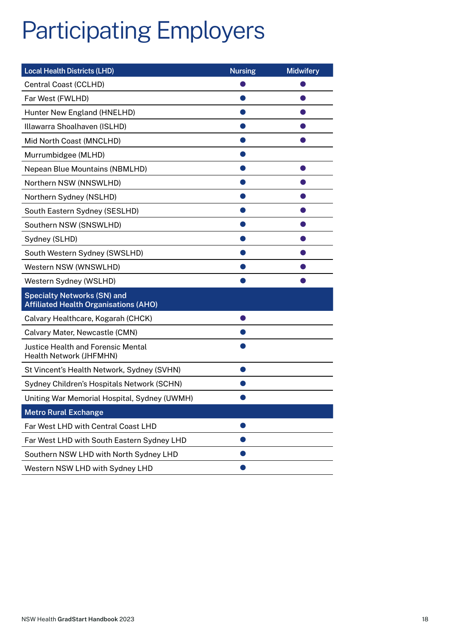# Participating Employers

| <b>Local Health Districts (LHD)</b>                                                | <b>Nursing</b> | <b>Midwifery</b> |
|------------------------------------------------------------------------------------|----------------|------------------|
| Central Coast (CCLHD)                                                              |                |                  |
| Far West (FWLHD)                                                                   |                |                  |
| Hunter New England (HNELHD)                                                        |                |                  |
| Illawarra Shoalhaven (ISLHD)                                                       |                |                  |
| Mid North Coast (MNCLHD)                                                           |                |                  |
| Murrumbidgee (MLHD)                                                                |                |                  |
| Nepean Blue Mountains (NBMLHD)                                                     |                |                  |
| Northern NSW (NNSWLHD)                                                             |                |                  |
| Northern Sydney (NSLHD)                                                            |                |                  |
| South Eastern Sydney (SESLHD)                                                      |                |                  |
| Southern NSW (SNSWLHD)                                                             |                |                  |
| Sydney (SLHD)                                                                      |                |                  |
| South Western Sydney (SWSLHD)                                                      |                |                  |
| Western NSW (WNSWLHD)                                                              |                |                  |
| Western Sydney (WSLHD)                                                             |                |                  |
| <b>Specialty Networks (SN) and</b><br><b>Affiliated Health Organisations (AHO)</b> |                |                  |
| Calvary Healthcare, Kogarah (CHCK)                                                 |                |                  |
| Calvary Mater, Newcastle (CMN)                                                     |                |                  |
| <b>Justice Health and Forensic Mental</b><br>Health Network (JHFMHN)               |                |                  |
| St Vincent's Health Network, Sydney (SVHN)                                         |                |                  |
| Sydney Children's Hospitals Network (SCHN)                                         |                |                  |
| Uniting War Memorial Hospital, Sydney (UWMH)                                       |                |                  |
| <b>Metro Rural Exchange</b>                                                        |                |                  |
| Far West LHD with Central Coast LHD                                                |                |                  |
| Far West LHD with South Eastern Sydney LHD                                         |                |                  |
| Southern NSW LHD with North Sydney LHD                                             |                |                  |
| Western NSW LHD with Sydney LHD                                                    |                |                  |